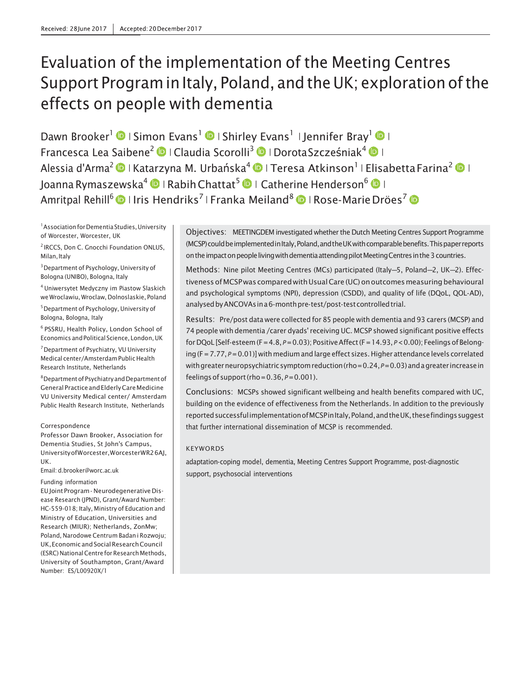# Evaluation of the implementation of the Meeting Centres Support Program in Italy, Poland, and the UK; exploration of the effects on people with dementia

Dawn Brooker<sup>1</sup>  $\bigcirc$  | Simon Evans<sup>1</sup>  $\bigcirc$  | Shirley Evans<sup>1</sup> | Jennifer Bray<sup>1</sup>  $\bigcirc$  | Francesca Lea Saibene<sup>2</sup> © | Claudia Scorolli<sup>3</sup> © | DorotaSzcześniak<sup>4</sup> © | Alessia d'Arma<sup>2</sup> DI Katarzyna M. Urbańska<sup>4</sup> DI Teresa Atkinson<sup>1</sup> I Elisabetta Farina<sup>2</sup> DI Joanna Rymaszewska<sup>4</sup> | Rabih Chattat<sup>5</sup> | Catherine Henderson<sup>6</sup> | | Amritpal Rehill<sup>6</sup>  $\bullet$  I Iris Hendriks<sup>7</sup> | Franka Meiland<sup>8</sup>  $\bullet$  | Rose-MarieDröes<sup>7</sup>  $\bullet$ 

<sup>1</sup> Association for Dementia Studies, University of Worcester, Worcester, UK

<sup>2</sup> IRCCS, Don C. Gnocchi Foundation ONLUS, Milan, Italy

3Department of Psychology, University of Bologna (UNIBO), Bologna, Italy

4 Uniwersytet Medyczny im Piastow Slaskich we Wroclawiu, Wroclaw, Dolnoslaskie, Poland

5Department of Psychology, University of Bologna, Bologna, Italy

6 PSSRU, Health Policy, London School of Economics andPolitical Science, London,UK

7Department of Psychiatry, VU University Medical center/Amsterdam Public Health Research Institute, Netherlands

8Department of PsychiatryandDepartment of General PracticeandElderlyCareMedicine VU University Medical center/ Amsterdam Public Health Research Institute, Netherlands

Correspondence Professor Dawn Brooker, Association for Dementia Studies, St John's Campus,

UniversityofWorcester,WorcesterWR26AJ, UK.

Email: [d.brooker@worc.ac.uk](mailto:d.brooker@worc.ac.uk)

#### Funding information

EUJoint Program - Neurodegenerative Disease Research (JPND), Grant/Award Number: HC-559-018; Italy, Ministry of Education and Ministry of Education, Universities and Research (MIUR); Netherlands, ZonMw; Poland, Narodowe Centrum Badan i Rozwoju; UK,EconomicandSocialResearchCouncil (ESRC) National Centre for Research Methods, University of Southampton, Grant/Award Number: ES/L00920X/1

Objectives: MEETINGDEM investigated whether the Dutch Meeting Centres Support Programme (MCSP) could be implemented in Italy, Poland, and the UK with comparable benefits. This paper reports on the impact on people living with dementia attending pilot Meeting Centres in the 3 countries.

Methods: Nine pilot Meeting Centres (MCs) participated (Italy—5, Poland—2, UK—2). Effectiveness of MCSP was compared with Usual Care (UC) on outcomes measuring behavioural and psychological symptoms (NPI), depression (CSDD), and quality of life (DQoL, QOL-AD), analysed by ANCOVAs in a 6-month pre-test/post-test controlled trial.

Results: Pre/post data were collected for 85 people with dementia and 93 carers (MCSP) and 74 people with dementia /carer dyads' receiving UC. MCSP showed significant positive effects for DQoL [Self-esteem(F=4.8, *P*=0.03); PositiveAffect(F=14.93, *P*<0.00); Feelingsof Belonging (F = 7.77,  $P = 0.01$ )] with medium and large effect sizes. Higher attendance levels correlated with greater neuropsychiatric symptom reduction (rho=0.24,  $P=0.03$ ) and a greater increase in feelings of support (rho= $0.36$ ,  $P=0.001$ ).

Conclusions: MCSPs showed significant wellbeing and health benefits compared with UC, building on the evidence of effectiveness from the Netherlands. In addition to the previously reported successful implementation of MCSP in Italy, Poland, and the UK, these findings suggest that further international dissemination of MCSP is recommended.

#### KEYWORDS

adaptation-coping model, dementia, Meeting Centres Support Programme, post-diagnostic support, psychosocial interventions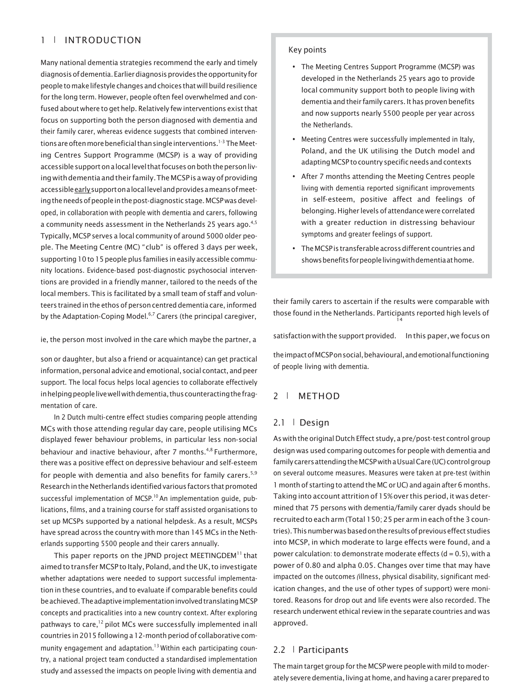# 1 | INTRODUCTION

Many national dementia strategies recommend the early and timely diagnosis of dementia. Earlier diagnosis provides the opportunity for peopletomakelifestylechangesandchoices thatwillbuildresilience for the long term. However, people often feel overwhelmed and confused about where to get help. Relatively few interventions exist that focus on supporting both the person diagnosed with dementia and their family carer, whereas evidence suggests that combined interventions are often more beneficial than single interventions.<sup>1-3</sup> The Meeting Centres Support Programme (MCSP) is a way of providing accessible support on a local level that focuses on both the person living with dementia and their family. The MCSP is a way of providing accessibleearlysupportonalocallevelandprovidesameansofmeeting the needs of people in the post-diagnostic stage. MCSP was developed, in collaboration with people with dementia and carers, following a community needs assessment in the Netherlands 25 years ago. $4,5$ Typically, MCSP serves a local community of around 5000 older people. The Meeting Centre (MC) "club" is offered 3 days per week, supporting 10 to 15 people plus families in easily accessible community locations. Evidence-based post-diagnostic psychosocial interventions are provided in a friendly manner, tailored to the needs of the local members. This is facilitated by a small team of staff and volunteers trained in the ethos of person centred dementia care, informed by the Adaptation-Coping Model.<sup>6,7</sup> Carers (the principal caregiver,

son or daughter, but also a friend or acquaintance) can get practical information, personal advice and emotional, social contact, and peer support. The local focus helps local agencies to collaborate effectively inhelping people live well with dementia, thus counteracting the fragmentation of care.

In 2 Dutch multi-centre effect studies comparing people attending MCs with those attending regular day care, people utilising MCs displayed fewer behaviour problems, in particular less non-social behaviour and inactive behaviour, after 7 months.<sup>4,8</sup> Furthermore, there was a positive effect on depressive behaviour and self-esteem for people with dementia and also benefits for family carers.<sup>5,9</sup> Research in the Netherlands identified various factors that promoted successful implementation of MCSP.<sup>10</sup> An implementation guide, publications, films, and a training course for staff assisted organisations to set up MCSPs supported by a national helpdesk. As a result, MCSPs have spread across the country with more than 145 MCs in the Netherlands supporting 5500 people and their carers annually.

This paper reports on the JPND project MEETINGDEM<sup>11</sup> that aimed to transfer MCSP to Italy, Poland, and the UK, to investigate whether adaptations were needed to support successful implementation in these countries, and to evaluate if comparable benefits could be achieved. The adaptive implementation involved translating MCSP concepts and practicalities into a new country context. After exploring pathways to care,<sup>12</sup> pilot MCs were successfully implemented inall countries in 2015 following a 12-month period of collaborative community engagement and adaptation.<sup>13</sup> Within each participating country, a national project team conducted a standardised implementation study and assessed the impacts on people living with dementia and

#### Key points

- The Meeting Centres Support Programme (MCSP) was developed in the Netherlands 25 years ago to provide local community support both to people living with dementia and their family carers. It has proven benefits and now supports nearly 5500 people per year across the Netherlands.
- Meeting Centres were successfully implemented in Italy, Poland, and the UK utilising the Dutch model and adapting MCSP to country specific needs and contexts
- After 7 months attending the Meeting Centres people living with dementia reported significant improvements in self-esteem, positive affect and feelings of belonging. Higher levels of attendance were correlated with a greater reduction in distressing behaviour symptoms and greater feelings of support.
- TheMCSPis transferableacrossdifferent countriesand shows benefits for people living with dementia at home.

their family carers to ascertain if the results were comparable with those found in the Netherlands. Participants reported high levels of 14

ie, the person most involved in the care which maybe the partner, a satisfaction with the support provided. In this paper, we focus on

theimpactofMCSPonsocial,behavioural,andemotionalfunctioning of people living with dementia.

#### 2 | METHOD

#### 2.1 | Design

As with the original Dutch Effect study, a pre/post-test control group design was used comparing outcomes for people with dementia and family carers attending the MCSP with a Usual Care (UC) control group on several outcome measures. Measures were taken at pre-test (within 1 month of starting to attend the MC or UC) and again after 6 months. Taking into account attrition of 15% over this period, it was determined that 75 persons with dementia/family carer dyads should be recruitedto eacharm(Total 150;25 per armineachofthe 3 countries). This number was based on the results of previous effect studies into MCSP, in which moderate to large effects were found, and a power calculation: to demonstrate moderate effects ( $d = 0.5$ ), with a power of 0.80 and alpha 0.05. Changes over time that may have impacted on the outcomes *(*illness, physical disability, significant medication changes, and the use of other types of support) were monitored. Reasons for drop out and life events were also recorded. The research underwent ethical review in the separate countries and was approved.

#### 2.2 | Participants

The main target group for the MCSP were people with mild to moderately severe dementia, living at home, and having a carer prepared to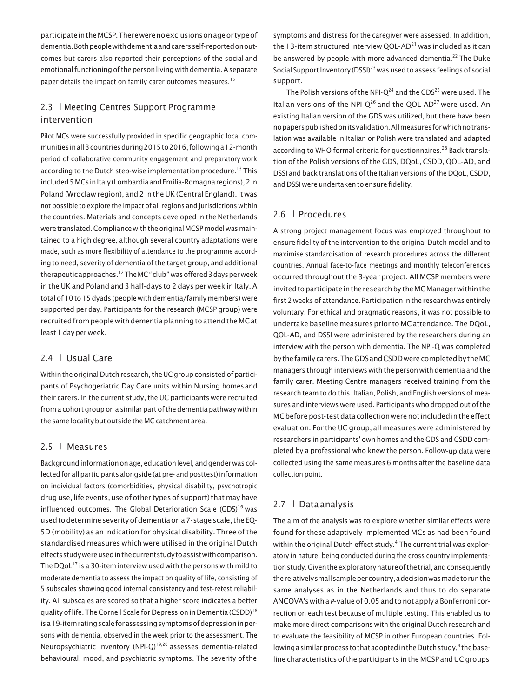participateintheMCSP.Therewerenoexclusionsonageor typeof dementia.Bothpeoplewithdementiaandcarersself-reportedonoutcomes but carers also reported their perceptions of the social and emotional functioning of the person living with dementia. A separate paper details the impact on family carer outcomes measures.<sup>15</sup>

# 2.3 | Meeting Centres Support Programme intervention

Pilot MCs were successfully provided in specific geographic local communitiesinall3countriesduring2015to2016,followinga12-month period of collaborative community engagement and preparatory work according to the Dutch step-wise implementation procedure.<sup>13</sup> This included 5 MCs in Italy (Lombardia and Emilia-Romagna regions), 2 in Poland (Wroclaw region), and 2 in the UK (Central England). It was not possible to explore the impact of all regions and jurisdictions within the countries. Materials and concepts developed in the Netherlands were translated. Compliance with the original MCSP model was maintained to a high degree, although several country adaptations were made, such as more flexibility of attendance to the programme according to need, severity of dementia of the target group, and additional therapeutic approaches.<sup>12</sup> The MC "club" was offered 3 days per week in the UK and Poland and 3 half-days to 2 days per week in Italy.A total of 10 to15 dyads (people with dementia/family members) were supported per day. Participants for the research (MCSP group) were recruited from people with dementia planning to attend the MC at least 1 day per week.

# 2.4 | Usual Care

Within the original Dutch research, the UC group consisted of participants of Psychogeriatric Day Care units within Nursing homes and their carers. In the current study, the UC participants were recruited from a cohort group on a similar part ofthe dementia pathway within the same locality but outside the MC catchment area.

### 2.5 | Measures

Background information on age, education level, and gender was collected for all participants alongside (at pre-and posttest) information on individual factors (comorbidities, physical disability, psychotropic drug use, life events, use of other types of support) that may have influenced outcomes. The Global Deterioration Scale  $(GDS)^{16}$  was used to determine severity of dementia on a 7-stage scale, the EQ-5D (mobility) as an indication for physical disability. Three ofthe standardised measures which were utilised in the original Dutch effectsstudywereusedinthecurrentstudytoassistwithcomparison. The DQoL $^{17}$  is a 30-item interview used with the persons with mild to moderate dementia to assess the impact on quality of life, consisting of 5 subscales showing good internal consistency and test-retest reliability. All subscales are scored so that a higher score indicates a better quality of life. The Cornell Scale for Depression in Dementia (CSDD)<sup>18</sup> isa19-itemratingscaleforassessingsymptomsofdepressioninpersons with dementia, observed in the week prior to the assessment. The Neuropsychiatric Inventory (NPI-Q)<sup>19,20</sup> assesses dementia-related behavioural, mood, and psychiatric symptoms. The severity of the

symptoms and distress for the caregiver were assessed. In addition, the 13-item structured interview OOL-AD<sup>21</sup> was included as it can be answered by people with more advanced dementia.<sup>22</sup> The Duke Social Support Inventory (DSSI)<sup>23</sup> was used to assess feelings of social support.

The Polish versions of the NPI- $Q^{24}$  and the GDS<sup>25</sup> were used. The Italian versions of the NPI- $Q^{26}$  and the QOL-AD<sup>27</sup> were used. An existing Italian version of the GDS was utilized, but there have been nopaperspublishedonitsvalidation.Allmeasuresforwhichnotranslation was available in Italian or Polish were translated and adapted according to WHO formal criteria for questionnaires.<sup>28</sup> Back translation ofthe Polish versions ofthe GDS, DQoL, CSDD, QOL-AD, and DSSI and back translations of the Italian versions of the DQoL, CSDD, and DSSI were undertaken to ensure fidelity.

### 2.6 | Procedures

A strong project management focus was employed throughout to ensure fidelity of the intervention to the original Dutch model and to maximise standardisation of research procedures across the different countries. Annual face-to-face meetings and monthly teleconferences occurred throughout the 3-year project. All MCSP members were invited to participate in the research by the MCManager within the first 2 weeks of attendance. Participation in the research was entirely voluntary. For ethical and pragmatic reasons, it was not possible to undertake baseline measures prior to MC attendance. The DQoL, QOL-AD, and DSSI were administered by the researchers during an interview with the person with dementia. The NPI-Q was completed bythefamily carers.TheGDSandCSDDwerecompletedbytheMC managers through interviews with the person with dementia and the family carer. Meeting Centre managers received training from the research team to do this. Italian, Polish, and English versions of measures and interviews were used. Participants who dropped out of the MC before post-test data collection were not included in the effect evaluation. For the UC group, all measures were administered by researchers in participants' own homes and the GDS and CSDD completed by a professional who knew the person. Follow-up data were collected using the same measures 6 months after the baseline data collection point.

# 2.7 | Dataanalysis

The aim of the analysis was to explore whether similar effects were found for these adaptively implemented MCs as had been found within the original Dutch effect study.<sup>4</sup> The current trial was exploratory in nature, being conducted during the cross country implementationstudy.Giventheexploratorynatureofthetrial,andconsequently therelativelysmallsamplepercountry,adecisionwasmadetorunthe same analyses as in the Netherlands and thus to do separate ANCOVA'switha *P*-valueof0.05andtonotapplya Bonferroni correction on each test because of multiple testing. This enabled us to make more direct comparisons with the original Dutch research and to evaluate the feasibility of MCSP in other European countries. Following a similar process to that adopted in the Dutch study,<sup>4</sup> the baseline characteristics of the participants in the MCSP and UC groups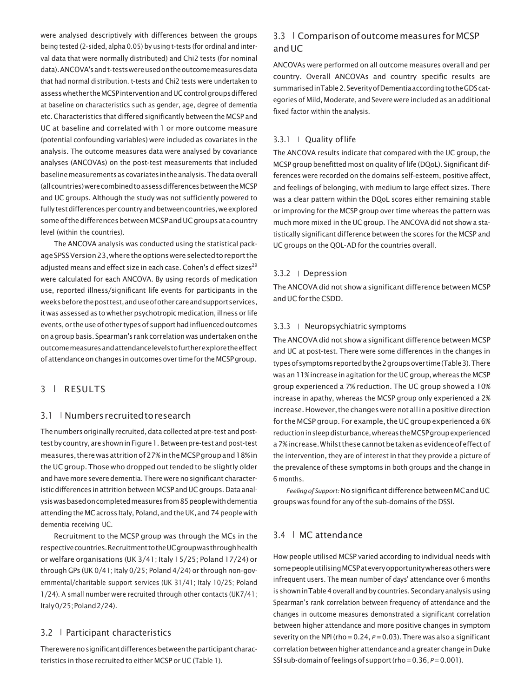were analysed descriptively with differences between the groups being tested (2-sided, alpha 0.05) by using t-tests (for ordinal and interval data that were normally distributed) and Chi2 tests (for nominal data).ANCOVA'sandt-testswereusedontheoutcomemeasuresdata that had normal distribution. t-tests and Chi2 tests were undertaken to assess whether the MCSP intervention and UC control groups differed at baseline on characteristics such as gender, age, degree of dementia etc. Characteristics that differed significantly between the MCSP and UC at baseline and correlated with 1 or more outcome measure (potential confounding variables) were included as covariates in the analysis. The outcome measures data were analysed by covariance analyses (ANCOVAs) on the post-test measurements that included baseline measurements as covariates in the analysis. The data overall (allcountries)werecombinedtoassessdifferencesbetweentheMCSP and UC groups. Although the study was not sufficiently powered to fully test differences per country and between countries, we explored some of the differences between MCSP and UC groups at a country level (within the countries).

The ANCOVA analysis was conducted using the statistical packageSPSSVersion23,wheretheoptionswereselectedtoreportthe adjusted means and effect size in each case. Cohen's d effect sizes<sup>29</sup> were calculated for each ANCOVA. By using records of medication use, reported illness/significant life events for participants in the weeksbeforetheposttest,anduseofothercareandsupportservices, it was assessed as to whether psychotropic medication, illness or life events, or the use of other types of support had influenced outcomes on a group basis. Spearman's rank correlation was undertaken on the outcomemeasuresandattendancelevelstofurtherexploretheeffect of attendance on changes in outcomes over time for the MCSP group.

# 3 | RESULTS

#### 3.1 | Numbers recruited to research

The numbers originally recruited, data collected at pre-test and posttest by country, are shown in Figure 1. Between pre-test and post-test measures,therewasattritionof27%intheMCSPgroupand18%in the UC group. Those who dropped out tended to be slightly older and have more severe dementia. There were no significant characteristic differences in attrition between MCSP and UC groups. Data analysiswasbasedoncompletedmeasuresfrom85peoplewithdementia attending the MC across Italy, Poland, and the UK, and 74 people with dementia receiving UC.

Recruitment to the MCSP group was through the MCs in the respectivecountries.RecruitmenttotheUCgroupwasthroughhealth or welfare organisations (UK 3/41; Italy 15/25; Poland 17/24) or through GPs (UK 0/41; Italy 0/25; Poland 4/24) or through non-governmental/charitable support services (UK 31/41; Italy 10/25; Poland 1/24). A small number were recruited through other contacts (UK7/41; Italy0/25;Poland2/24).

#### 3.2 | Participant characteristics

There were no significant differences between the participant characteristics in those recruited to either MCSP or UC (Table 1).

# 3.3 | Comparison of outcome measures for MCSP andUC

ANCOVAs were performed on all outcome measures overall and per country. Overall ANCOVAs and country specific results are summarisedinTable2.SeverityofDementiaaccordingtotheGDScategories of Mild, Moderate, and Severe were included as an additional fixed factor within the analysis.

#### 3.3.1 | Quality oflife

The ANCOVA results indicate that compared with the UC group, the MCSP group benefitted most on quality of life (DQoL). Significant differences were recorded on the domains self-esteem, positive affect, and feelings of belonging, with medium to large effect sizes. There was a clear pattern within the DQoL scores either remaining stable or improving for the MCSP group over time whereas the pattern was much more mixed in the UC group. The ANCOVA did not show a statistically significant difference between the scores for the MCSP and UC groups on the QOL-AD for the countries overall.

#### 3.3.2 | Depression

The ANCOVA did not show a significant difference between MCSP andUCfor theCSDD.

#### 3.3.3 | Neuropsychiatricsymptoms

The ANCOVA did not show a significant difference between MCSP and UC at post-test. There were some differences in the changes in typesofsymptomsreportedbythe2groupsover time(Table3).There was an 11%increase in agitation for the UC group, whereas the MCSP group experienced a 7% reduction. The UC group showed a 10% increase in apathy, whereas the MCSP group only experienced a 2% increase. However, the changes were not all in a positive direction for the MCSP group. For example, the UC group experienced a 6% reductioninsleepdisturbance,whereastheMCSPgroupexperienced a 7% increase. Whilst these cannot be taken as evidence of effect of the intervention, they are of interest in that they provide a picture of the prevalence of these symptoms in both groups and the change in 6 months.

*Feelingof Support:*NosignificantdifferencebetweenMCandUC groups was found for any of the sub-domains of the DSSI.

#### 3.4 | MC attendance

How people utilised MCSP varied according to individual needs with some people utilising MCSP at every opportunity whereas others were infrequent users. The mean number of days' attendance over 6 months is shown in Table 4 overall and by countries. Secondary analysis using Spearman's rank correlation between frequency of attendance and the changes in outcome measures demonstrated a significant correlation between higher attendance and more positive changes in symptom severity on the NPI (rho =  $0.24$ ,  $P = 0.03$ ). There was also a significant correlation between higher attendance and a greater change in Duke SSI sub-domain of feelings of support (rho = 0.36,  $P$  = 0.001).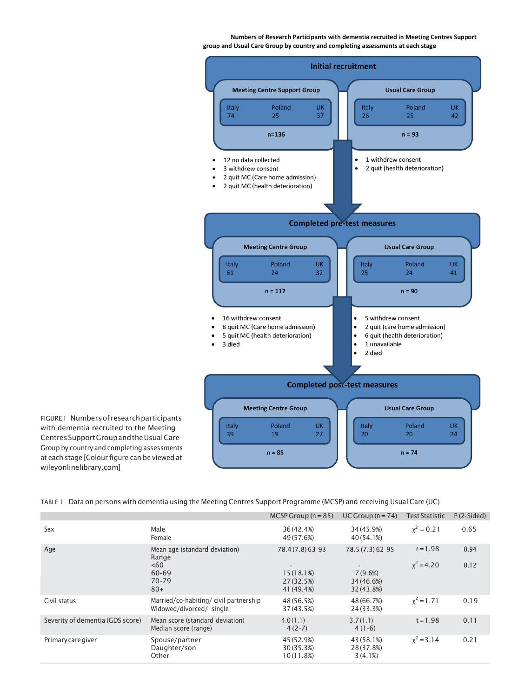Numbers of Research Participants with dementia recruited in Meeting Centres Support group and Usual Care Group by country and completing assessments at each stage



FIGURE1 Numbers of research participants with dementia recruited to the Meeting CentresSupportGroupandtheUsualCare Group by country and completing assessments at each stage [Colour figure can be viewed at [wileyonlinelibrary.com\]](http://wileyonlinelibrary.com/)

TABLE 1 Data on persons with dementia using the Meeting Centres Support Programme (MCSP) and receiving Usual Care (UC)

|                                  |                                                                          | MCSP Group $(n = 85)$                                    | UC Group $(n=74)$                                          | <b>Test Statistic</b>      | $P(2-Sided)$ |
|----------------------------------|--------------------------------------------------------------------------|----------------------------------------------------------|------------------------------------------------------------|----------------------------|--------------|
| Sex                              | Male<br>Female                                                           | 36 (42.4%)<br>49 (57.6%)                                 | 34 (45.9%)<br>40 (54.1%)                                   | $x^2 = 0.21$               | 0.65         |
| Age                              | Mean age (standard deviation)<br>Range<br><60<br>60-69<br>70-79<br>$80+$ | 78.4 (7.8) 63-93<br>15(18.1%)<br>27(32.5%)<br>41 (49.4%) | 78.5 (7.3) 62-95<br>$7(9.6\%)$<br>34 (46.6%)<br>32 (43.8%) | $t = 1.98$<br>$x^2 = 4.20$ | 0.94<br>0.12 |
| Civil status                     | Married/co-habiting/civil partnership<br>Widowed/divorced/ single        | 48 (56.5%)<br>37 (43.5%)                                 | 48 (66.7%)<br>24 (33.3%)                                   | $x^2 = 1.71$               | 0.19         |
| Severity of dementia (GDS score) | Mean score (standard deviation)<br>Median score (range)                  | 4.0(1.1)<br>$4(2-7)$                                     | 3.7(1.1)<br>$4(1-6)$                                       | $t = 1.98$                 | 0.11         |
| Primary care giver               | Spouse/partner<br>Daughter/son<br>Other                                  | 45 (52.9%)<br>30 (35.3%)<br>10(11.8%)                    | 43 (58.1%)<br>28 (37.8%)<br>3(4.1%)                        | $x^2 = 3.14$               | 0.21         |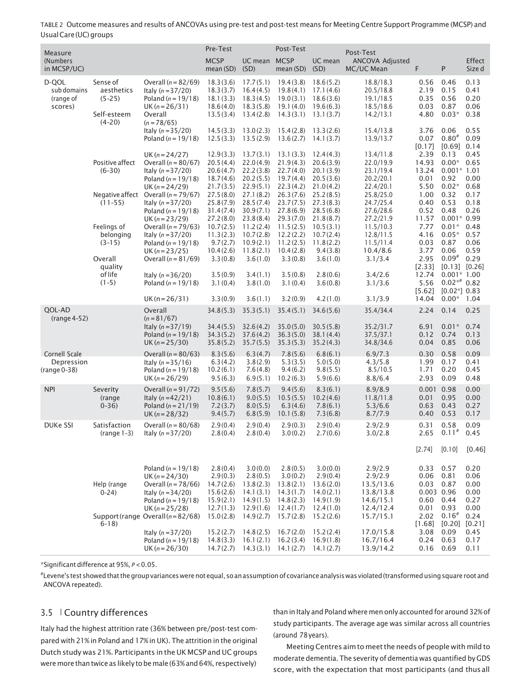| Measure         |                         |                                                         | Pre-Test               |              | Post-Test              |           | Post-Test              |              |                    |               |
|-----------------|-------------------------|---------------------------------------------------------|------------------------|--------------|------------------------|-----------|------------------------|--------------|--------------------|---------------|
| (Numbers)       |                         |                                                         | <b>MCSP</b>            | UC mean MCSP |                        | UC mean   | <b>ANCOVA Adjusted</b> |              |                    | <b>Effect</b> |
| in MCSP/UC)     |                         |                                                         | mean (SD)              | (SD)         | mean (SD)              | (SD)      | MC/UC Mean             | F            | P                  | Size d        |
| D-QOL           | Sense of                | Overall ( $n = 82/69$ )                                 | 18.3(3.6)              | 17.7(5.1)    | 19.4(3.8)              | 18.6(5.2) | 18.8/18.3              | 0.56         | 0.46               | 0.13          |
| sub domains     | aesthetics              |                                                         | 18.3(3.7)              | 16.4(4.5)    | 19.8(4.1)              | 17.1(4.6) | 20.5/18.8              | 2.19         | 0.15               | 0.41          |
|                 | $(5-25)$                | Italy $(n = 37/20)$                                     |                        |              | 19.0(3.1)              | 18.6(3.6) |                        | 0.35         | 0.56               | 0.20          |
| (range of       |                         | Poland ( $n = 19/18$ )                                  | 18.1(3.3)              | 18.3(4.5)    |                        |           | 19.1/18.5              |              |                    |               |
| scores)         |                         | $UK(n=26/31)$                                           | 18.6(4.0)              | 18.3(5.8)    | 19.1(4.0)              | 19.6(6.3) | 18.5/18.6              | 0.03         | 0.87               | 0.06          |
|                 | Self-esteem<br>$(4-20)$ | Overall                                                 | 13.5(3.4)              | 13.4(2.8)    | 14.3(3.1)              | 13.1(3.7) | 14.2/13.1              | 4.80         | $0.03*$            | 0.38          |
|                 |                         | $(n = 78/65)$<br>Italy $(n = 35/20)$                    | 14.5(3.3)              | 13.0(2.3)    | 15.4(2.8)              | 13.3(2.6) | 15.4/13.8              | 3.76         | 0.06               | 0.55          |
|                 |                         | Poland ( $n = 19/18$ )                                  | 12.5(3.3)              | 13.5(2.9)    | 13.6(2.7)              | 14.1(3.7) | 13.9/13.7              | 0.07         | $0.80*$            | 0.09          |
|                 |                         |                                                         |                        |              |                        |           |                        | [0.17]       | $[0.69]$ 0.14      |               |
|                 |                         | UK $(n = 24/27)$                                        | 12.9(3.3)              | 13.7(3.1)    | 13.1(3.3)              | 12.4(4.3) | 13.4/11.8              | 2.39         | 0.13               | 0.45          |
|                 | Positive affect         | Overall ( $n = 80/67$ )                                 | 20.5(4.4)              | 22.0(4.9)    | 21.9(4.3)              | 20.6(3.9) | 22.0/19.9              | 14.93        | $0.00*$            | 0.65          |
|                 | $(6-30)$                | Italy $(n = 37/20)$                                     | 20.6(4.7)              | 22.2(3.8)    | 22.7(4.0)              | 20.1(3.9) | 23.1/19.4              | 13.24        | $0.001*1.01$       |               |
|                 |                         | Poland ( $n = 19/18$ )                                  | 18.7(4.6)              | 20.2(5.5)    | 19.7(4.4)              | 20.5(3.6) | 20.2/20.1              | 0.01         | 0.92               | 0.00          |
|                 |                         |                                                         | 21.7(3.5)              | 22.9(5.1)    | 22.3(4.2)              | 21.0(4.2) | 22.4/20.1              | 5.50         | $0.02*$            | 0.68          |
|                 |                         | UK $(n=24/29)$<br>Negative affect Overall $(n = 79/67)$ | 27.5(8.0)              | 27.1(8.2)    | 26.3(7.6)              | 25.2(8.5) | 25.8/25.0              | 1.00         | 0.32               | 0.17          |
|                 |                         |                                                         |                        | 28.5(7.4)    |                        | 27.3(8.3) | 24.7/25.4              | 0.40         | 0.53               | 0.18          |
|                 | $(11 - 55)$             | Italy $(n = 37/20)$                                     | 25.8(7.9)              |              | 23.7(7.5)              |           |                        | 0.52         | 0.48               | 0.26          |
|                 |                         | Poland ( $n = 19/18$ )                                  | 31.4(7.4)              | 30.9(7.1)    | 27.8(6.9)              | 28.5(6.8) | 27.6/28.6              |              |                    |               |
|                 |                         | UK $(n=23/29)$                                          | 27.2(8.0)              | 23.8(8.4)    | 29.3(7.0)              | 21.8(8.7) | 27.2/21.9              | 11.57        | $0.001*0.99$       |               |
|                 | Feelings of             | Overall ( $n = 79/63$ )                                 | 10.7(2.5)              | 11.2(2.4)    | 11.5(2.5)              | 10.5(3.1) | 11.5/10.3              | 7.77         | $0.01*$            | 0.48          |
|                 | belonging               | Italy $(n = 37/20)$                                     | 11.3(2.3)              | 10.7(2.8)    | 12.2(2.2)              | 10.7(2.4) | 12.8/11.5              | 4.16         | $0.05*$            | 0.57          |
|                 | $(3-15)$                | Poland ( $n = 19/18$ )                                  | 9.7(2.7)               | 10.9(2.1)    | 11.2(2.5)              | 11.8(2.2) | 11.5/11.4              | 0.03         | 0.87               | 0.06          |
|                 |                         | UK $(n=23/25)$                                          | 10.4(2.6)              | 11.8(2.1)    | 10.4(2.8)              | 9.4(3.8)  | 10.4/8.6               | 3.77         | 0.06               | 0.59          |
|                 | Overall                 | Overall ( $n = 81/69$ )                                 | 3.3(0.8)               | 3.6(1.0)     | 3.3(0.8)               | 3.6(1.0)  | 3.1/3.4                | 2.95         | $0.09*$            | 0.29          |
|                 | quality                 |                                                         |                        |              |                        |           |                        | [2.33]       | $[0.13]$ $[0.26]$  |               |
|                 | of life                 | Italy $(n = 36/20)$                                     | 3.5(0.9)               | 3.4(1.1)     | 3.5(0.8)               | 2.8(0.6)  | 3.4/2.6                | 12.74        | $0.001*1.00$       |               |
|                 | $(1-5)$                 | Poland ( $n = 19/18$ )                                  | 3.1(0.4)               | 3.8(1.0)     | 3.1(0.4)               | 3.6(0.8)  | 3.1/3.6                | 5.56         | $0.02**$ 0.82      |               |
|                 |                         |                                                         |                        |              |                        |           |                        | [5.62]       | $[0.02^*]$ 0.83    |               |
|                 |                         | $UK(n=26/31)$                                           | 3.3(0.9)               | 3.6(1.1)     | 3.2(0.9)               | 4.2(1.0)  | 3.1/3.9                | 14.04        | $0.00*$ 1.04       |               |
| QOL-AD          |                         | Overall                                                 | 34.8(5.3)              | 35.3(5.1)    | 35.4(5.1)              | 34.6(5.6) | 35.4/34.4              | 2.24         | 0.14               | 0.25          |
| $(range4-52)$   |                         | $(n = 81/67)$                                           |                        |              |                        |           |                        |              |                    |               |
|                 |                         | Italy $(n = 37/19)$                                     | 34.4(5.5)              | 32.6(4.2)    | 35.0(5.0)              | 30.5(5.8) | 35.2/31.7              | 6.91         | $0.01*$            | 0.74          |
|                 |                         | Poland ( $n = 19/18$ )                                  | 34.3(5.2)              | 37.6(4.2)    | 36.3(5.0)              | 38.1(4.4) | 37.5/37.1              | 0.12         | 0.74               | 0.13          |
|                 |                         | UK $(n=25/30)$                                          | 35.8(5.2)              | 35.7(5.5)    | 35.3(5.3)              | 35.2(4.3) | 34.8/34.6              | 0.04         | 0.85               | 0.06          |
| Cornell Scale   |                         | Overall ( $n = 80/63$ )                                 | 8.3(5.6)               | 6.3(4.7)     | 7.8(5.6)               | 6.8(6.1)  | 6.9/7.3                | 0.30         | 0.58               | 0.09          |
| Depression      |                         | Italy $(n = 35/16)$                                     | 6.3(4.2)               | 3.8(2.9)     | 5.3(3.5)               | 5.0(5.0)  | 4.3/5.8                | 1.99         | 0.17               | 0.41          |
| (range 0-38)    |                         | Poland ( $n = 19/18$ )                                  | 10.2(6.1)              | 7.6(4.8)     | 9.4(6.2)               | 9.8(5.5)  | 8.5/10.5               | 1.71         | 0.20               | 0.45          |
|                 |                         |                                                         |                        |              |                        |           |                        | 2.93         | 0.09               | 0.48          |
|                 |                         | UK $(n = 26/29)$                                        | 9.5(6.3)               | 6.9(5.1)     | 10.2(6.3)              | 5.9(6.6)  | 8.8/6.4                |              |                    |               |
| <b>NPI</b>      | Severity                | Overall $(n = 91/72)$                                   | 9.5(5.6)               | 7.8(5.7)     | 9.4(5.6)               | 8.3(6.1)  | 8.9/8.9                | 0.001 0.98   |                    | 0.00          |
|                 | (range                  | Italy $(n = 42/21)$                                     | 10.8(6.1)              | 9.0(5.5)     | 10.5(5.5)              | 10.2(4.6) | 11.8/11.8              | 0.01         | 0.95               | 0.00          |
|                 | $0 - 36$                | Poland ( $n = 21/19$ )                                  | 7.2(3.7)               | 8.0(5.5)     | 6.3(4.6)               | 7.8(6.1)  | 5.3/6.6                | 0.63         | 0.43               | 0.27          |
|                 |                         | UK $(n=28/32)$                                          | 9.4(5.7)               | 6.8(5.9)     | 10.1(5.8)              | 7.3(6.8)  | 8.7/7.9                | 0.40         | 0.53               | 0.17          |
| <b>DUKe SSI</b> | Satisfaction            | Overall ( $n = 80/68$ )                                 | 2.9(0.4)               | 2.9(0.4)     | 2.9(0.3)               | 2.9(0.4)  | 2.9/2.9                | 0.31         | 0.58               | 0.09          |
|                 | $(range 1-3)$           | Italy $(n = 37/20)$                                     | 2.8(0.4)               | 2.8(0.4)     | 3.0(0.2)               | 2.7(0.6)  | 3.0/2.8                | 2.65         | $0.11^{#}$         | 0.45          |
|                 |                         |                                                         |                        |              |                        |           |                        |              |                    |               |
|                 |                         |                                                         |                        |              |                        |           |                        | [2.74]       | [0.10]             | [0.46]        |
|                 |                         |                                                         |                        |              |                        |           |                        |              |                    |               |
|                 |                         | Poland ( $n = 19/18$ )                                  | 2.8(0.4)               | 3.0(0.0)     | 2.8(0.5)               | 3.0(0.0)  | 2.9/2.9                | 0.33         | 0.57               | 0.20          |
|                 |                         | UK $(n=24/30)$                                          | 2.9(0.3)               | 2.8(0.5)     | 3.0(0.2)               | 2.9(0.4)  | 2.9/2.9                | 0.06         | 0.81               | 0.06          |
|                 | Help (range             | Overall ( $n = 78/66$ )                                 | 14.7(2.6)              | 13.8(2.3)    | 13.8(2.1)              | 13.6(2.0) | 13.5/13.6              | 0.03         | 0.87               | 0.00          |
|                 |                         |                                                         |                        |              |                        | 14.0(2.1) | 13.8/13.8              | 0.003 0.96   |                    |               |
|                 | $0 - 24$                | Italy $(n = 34/20)$<br>Poland ( $n = 19/18$ )           | 15.6(2.6)              | 14.1(3.1)    | 14.3(1.7)              |           | 14.6/15.1              |              |                    | 0.00          |
|                 |                         |                                                         | 15.9(2.1)              | 14.9(1.5)    | 14.8(2.3)              | 14.9(1.9) |                        | 0.60         | 0.44               | 0.27          |
|                 |                         | $UK(n=25/28)$<br>Support (range Overall $(n=82/68)$     | 12.7(1.3)<br>15.0(2.8) | 12.9(1.6)    | 12.4(1.7)<br>15.7(2.8) | 12.4(1.0) | 12.4/12.4              | 0.01<br>2.02 | 0.93<br>$0.16^{#}$ | 0.00<br>0.24  |
|                 |                         |                                                         |                        | 14.9(2.7)    |                        | 15.2(2.6) | 15.7/15.1              |              |                    |               |
|                 | $6-18$                  |                                                         |                        |              |                        |           |                        | [1.68]       | [0.20]             | [0.21]        |
|                 |                         | Italy $(n = 37/20)$                                     | 15.2(2.7)              | 14.8(2.5)    | 16.7(2.0)              | 15.2(2.4) | 17.0/15.8              | 3.08         | 0.09               | 0.45          |
|                 |                         | Poland ( $n = 19/18$ )                                  | 14.8(3.3)              | 16.1(2.1)    | 16.2(3.4)              | 16.9(1.8) | 16.7/16.4              | 0.24         | 0.63               | 0.17          |
|                 |                         | $UK(n=26/30)$                                           | 14.7(2.7)              |              | $14.3(3.1)$ 14.1(2.7)  | 14.1(2.7) | 13.9/14.2              | 0.16         | 0.69               | 0.11          |

TABLE 2 Outcome measures and results of ANCOVAs using pre-test and post-test means for Meeting Centre Support Programme (MCSP) and Usual Care (UC) groups

\*Significant difference at 95%, *P* < 0.05.

# Levene's test showedthatthegroupvarianceswerenot equal, soanassumptionof covariance analysiswas violated(transformedusingsquare root and ANCOVA repeated).

# 3.5 | Country differences

Italy had the highest attrition rate (36% between pre/post-test compared with 21% in Poland and 17% in UK). The attrition in the original Dutch study was 21%. Participants in the UK MCSP and UC groups were more than twice as likely to be male (63% and 64%, respectively)

than in Italy and Poland where men only accounted for around 32%of study participants. The average age was similar across all countries (around 78years).

Meeting Centres aim to meet the needs of people with mild to moderate dementia. The severity of dementia was quantified by GDS score, with the expectation that most participants (and thusall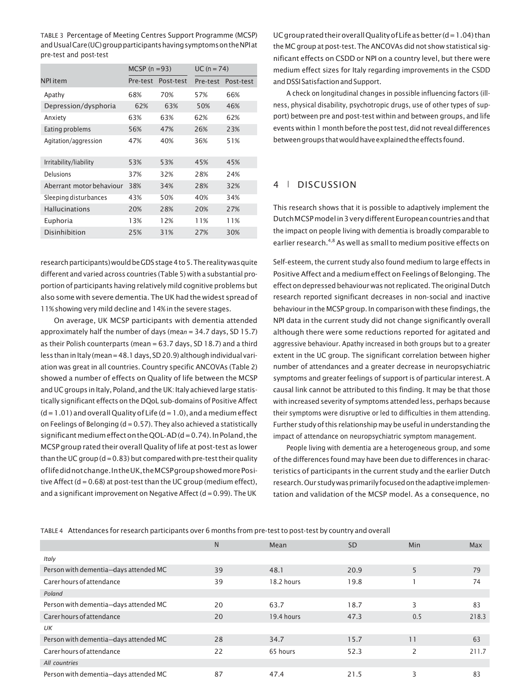TABLE 3 Percentage of Meeting Centres Support Programme (MCSP) andUsualCare(UC)groupparticipantshavingsymptomsontheNPIat pre-test and post-test

|                          | MCSP $(n=93)$ |           | $UC (n = 74)$ |           |  |
|--------------------------|---------------|-----------|---------------|-----------|--|
| <b>NPI</b> item          | Pre-test      | Post-test | Pre-test      | Post-test |  |
| Apathy                   | 68%           | 70%       | 57%           | 66%       |  |
| Depression/dysphoria     | 62%           | 63%       | 50%           | 46%       |  |
| Anxiety                  | 63%           | 63%       | 62%           | 62%       |  |
| Eating problems          | 56%           | 47%       | 26%           | 23%       |  |
| Agitation/aggression     | 47%           | 40%       | 36%           | 51%       |  |
| Irritability/liability   | 53%           | 53%       | 45%           | 45%       |  |
| Delusions                | 37%           | 32%       | 28%           | 24%       |  |
| Aberrant motor behaviour | 38%           | 34%       | 28%           | 32%       |  |
| Sleeping disturbances    | 43%           | 50%       | 40%           | 34%       |  |
| <b>Hallucinations</b>    | 20%           | 28%       | 20%           | 27%       |  |
| Euphoria                 | 13%           | 12%       | 11%           | 11%       |  |
| Disinhibition            | 25%           | 31%       | 27%           | 30%       |  |

research participants) would be GDS stage 4 to 5. The reality was quite different and varied across countries (Table 5) with a substantial proportion of participants having relatively mild cognitive problems but also some with severe dementia. The UK had the widest spread of 11% showing very mild decline and 14% in the severe stages.

On average, UK MCSP participants with dementia attended approximately half the number of days (mea*n* = 34.7 days, SD 15.7) as their Polish counterparts (mean = 63.7 days, SD 18.7) and a third  $less than in Italy (mean = 48.1 days, SD 20.9) although individual vari$ ation was great in all countries. Country specific ANCOVAs (Table 2) showed a number of effects on Quality of life between the MCSP and UC groups in Italy, Poland, and the UK: Italy achieved large statistically significant effects on the DQoL sub-domains of Positive Affect  $(d = 1.01)$  and overall Quality of Life  $(d = 1.0)$ , and a medium effect on Feelings of Belonging ( $d = 0.57$ ). They also achieved a statistically significant medium effect on the QOL-AD  $(d = 0.74)$ . In Poland, the MCSP group rated their overall Quality oflife at post-test as lower than the UC group ( $d = 0.83$ ) but compared with pre-test their quality oflifedidnotchange.IntheUK,theMCSPgroupshowedmorePositive Affect (d = 0.68) at post-test than the UC group (medium effect), and a significant improvement on Negative Affect ( $d = 0.99$ ). The UK

UC group rated their overall Quality of Life as better  $(d=1.04)$  than the MC group at post-test. The ANCOVAs did not show statistical significant effects on CSDD or NPI on a country level, but there were medium effect sizes for Italy regarding improvements in the CSDD and DSSI Satisfaction and Support.

A check on longitudinal changes in possible influencing factors (illness, physical disability, psychotropic drugs, use of other types of support) between pre and post-test within and between groups, and life events within 1 month before the post test, did not reveal differences betweengroupsthatwouldhaveexplainedtheeffects found.

# 4 | DISCUSSION

This research shows that it is possible to adaptively implement the Dutch MCSP model in 3 very different European countries and that the impact on people living with dementia is broadly comparable to earlier research.<sup>4,8</sup> As well as small to medium positive effects on

Self-esteem, the current study also found medium to large effects in Positive Affect and a medium effect on Feelings of Belonging. The effect on depressed behaviour was not replicated. The original Dutch research reported significant decreases in non-social and inactive behaviour in the MCSP group. In comparison with these findings, the NPI data in the current study did not change significantly overall although there were some reductions reported for agitated and aggressive behaviour. Apathy increased in both groups but to a greater extent in the UC group. The significant correlation between higher number of attendances and a greater decrease in neuropsychiatric symptoms and greater feelings of support is of particular interest. A causal link cannot be attributed to this finding. It may be that those with increased severity of symptoms attended less, perhaps because their symptoms were disruptive or led to difficulties in them attending. Further study ofthis relationship may be useful in understanding the impact of attendance on neuropsychiatric symptom management.

People living with dementia are a heterogeneous group, and some of the differences found may have been due to differences in characteristics of participants in the current study and the earlier Dutch research. Our study was primarily focused on the adaptive implementation and validation of the MCSP model. As a consequence, no

|  |  |  |  | TABLE 4 Attendances for research participants over 6 months from pre-test to post-test by country and overall |  |
|--|--|--|--|---------------------------------------------------------------------------------------------------------------|--|
|--|--|--|--|---------------------------------------------------------------------------------------------------------------|--|

|                                       | $\overline{N}$ | Mean       | <b>SD</b> | Min | Max   |
|---------------------------------------|----------------|------------|-----------|-----|-------|
| Italy                                 |                |            |           |     |       |
| Person with dementia-days attended MC | 39             | 48.1       | 20.9      | 5   | 79    |
| Carer hours of attendance             | 39             | 18.2 hours | 19.8      |     | 74    |
| Poland                                |                |            |           |     |       |
| Person with dementia-days attended MC | 20             | 63.7       | 18.7      | 3   | 83    |
| Carer hours of attendance             | 20             | 19.4 hours | 47.3      | 0.5 | 218.3 |
| UK                                    |                |            |           |     |       |
| Person with dementia-days attended MC | 28             | 34.7       | 15.7      | 11  | 63    |
| Carer hours of attendance             | 22             | 65 hours   | 52.3      | 2   | 211.7 |
| All countries                         |                |            |           |     |       |
| Person with dementia-days attended MC | 87             | 47.4       | 21.5      | 3   | 83    |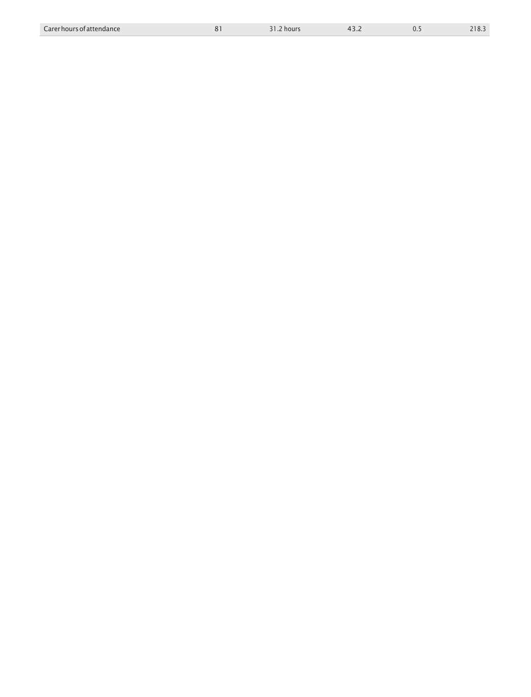| Carer hours of attendance |  | 31.2 hours | $4 -$<br>ے ۔ |  | ר חור<br>210.3 |
|---------------------------|--|------------|--------------|--|----------------|
|---------------------------|--|------------|--------------|--|----------------|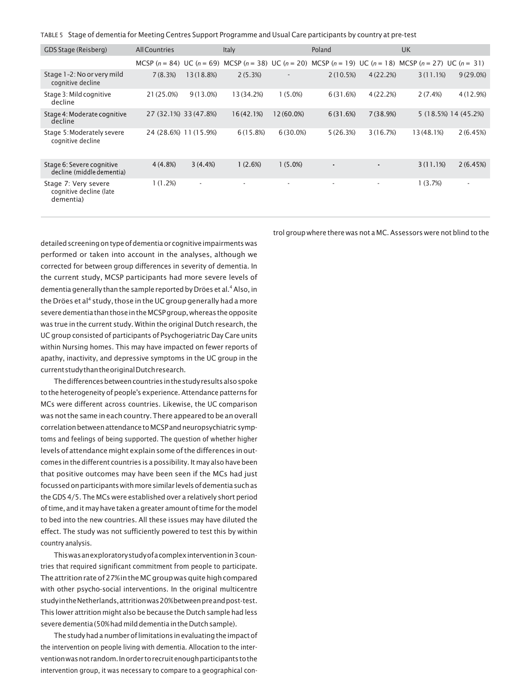| TABLE 5    Stage of dementia for Meeting Centres Support Programme and Usual Care participants by country at pre-test |  |  |
|-----------------------------------------------------------------------------------------------------------------------|--|--|
|                                                                                                                       |  |  |

| GDS Stage (Reisberg)                                         | <b>All Countries</b>  |                          | <b>Italy</b> |                          | Poland                                                                                                                  |          | UK         |                          |
|--------------------------------------------------------------|-----------------------|--------------------------|--------------|--------------------------|-------------------------------------------------------------------------------------------------------------------------|----------|------------|--------------------------|
|                                                              |                       |                          |              |                          | MCSP $(n = 84)$ UC $(n = 69)$ MCSP $(n = 38)$ UC $(n = 20)$ MCSP $(n = 19)$ UC $(n = 18)$ MCSP $(n = 27)$ UC $(n = 31)$ |          |            |                          |
| Stage 1-2: No or very mild<br>cognitive decline              | 7(8.3%)               | 13(18.8%)                | 2(5.3%)      | $\overline{\phantom{a}}$ | 2(10.5%)                                                                                                                | 4(22.2%) | 3(11.1%)   | 9(29.0%)                 |
| Stage 3: Mild cognitive<br>decline                           | 21 (25.0%)            | $9(13.0\%)$              | 13 (34.2%)   | $1(5.0\%)$               | 6(31.6%)                                                                                                                | 4(22.2%) | 2(7.4%)    | 4 (12.9%)                |
| Stage 4: Moderate cognitive<br>decline                       | 27 (32.1%) 33 (47.8%) |                          | 16(42.1%)    | $12(60.0\%)$             | 6(31.6%)                                                                                                                | 7(38.9%) |            | 5 (18.5%) 14 (45.2%)     |
| Stage 5: Moderately severe<br>cognitive decline              | 24 (28.6%) 11 (15.9%) |                          | 6(15.8%)     | $6(30.0\%)$              | 5(26.3%)                                                                                                                | 3(16.7%) | 13 (48.1%) | 2(6.45%)                 |
| Stage 6: Severe cognitive<br>decline (middle dementia)       | $4(4.8\%)$            | 3(4.4%)                  | 1(2.6%)      | 1(5.0%)                  | $\overline{\phantom{a}}$                                                                                                | ٠        | 3(11.1%)   | 2(6.45%)                 |
| Stage 7: Very severe<br>cognitive decline (late<br>dementia) | 1(1.2%)               | $\overline{\phantom{a}}$ |              | ٠                        | $\overline{\phantom{a}}$                                                                                                | ۰        | 1(3.7%)    | $\overline{\phantom{a}}$ |

detailed screening on type of dementia or cognitive impairments was performed or taken into account in the analyses, although we corrected for between group differences in severity of dementia. In the current study, MCSP participants had more severe levels of dementia generally than the sample reported by Dröes et al.<sup>4</sup> Also, in the Dröes et al<sup>4</sup> study, those in the UC group generally had a more severe dementia than those in the MCSP group, whereas the opposite was true in the current study. Within the original Dutch research, the UC group consisted of participants of Psychogeriatric Day Care units within Nursing homes. This may have impacted on fewer reports of apathy, inactivity, and depressive symptoms in the UC group in the currentstudythantheoriginalDutchresearch.

The differences between countries in the study results also spoke tothe heterogeneity of people's experience.Attendance patterns for MCs were different across countries. Likewise, the UC comparison was not the same in each country. There appeared to be an overall correlation between attendance to MCSP and neuropsychiatric symptoms and feelings of being supported. The question of whether higher levels of attendance might explain some of the differences in outcomes in the different countries is a possibility. It may also have been that positive outcomes may have been seen if the MCs had just focussed on participants with more similar levels of dementia such as the GDS 4/5. The MCs were established over a relatively short period oftime, and it may have taken a greater amount oftime for the model to bed into the new countries. All these issues may have diluted the effect. The study was not sufficiently powered to test this by within country analysis.

Thiswasanexploratorystudyofacomplexinterventionin3countries that required significant commitment from people to participate. The attrition rate of 27% in the MC group was quite high compared with other psycho-social interventions. In the original multicentre studyintheNetherlands,attritionwas20%betweenpreandpost-test. This lower attrition might also be because the Dutch sample had less severe dementia (50% had mild dementia in the Dutch sample).

The study had a number of limitations in evaluating the impact of the intervention on people living with dementia. Allocation to the interventionwasnot random.Inorder torecruitenoughparticipantstothe intervention group, it was necessary to compare to a geographical control group where there was not a MC.Assessors were not blind to the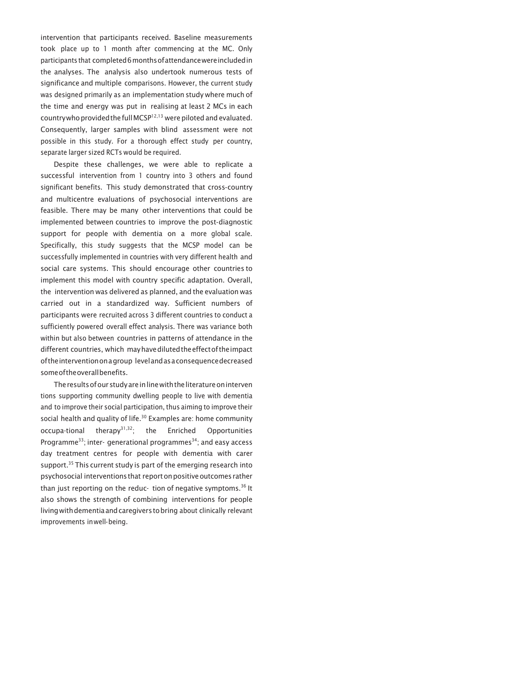intervention that participants received. Baseline measurements took place up to 1 month after commencing at the MC. Only participants that completed6monthsofattendancewereincludedin the analyses. The analysis also undertook numerous tests of significance and multiple comparisons. However, the current study was designed primarily as an implementation study where much of the time and energy was put in realising at least 2 MCs in each countrywho provided the full MCSP $12,13$  were piloted and evaluated. Consequently, larger samples with blind assessment were not possible in this study. For a thorough effect study per country, separate larger sized RCTs would be required.

Despite these challenges, we were able to replicate a successful intervention from 1 country into 3 others and found significant benefits. This study demonstrated that cross-country and multicentre evaluations of psychosocial interventions are feasible. There may be many other interventions that could be implemented between countries to improve the post-diagnostic support for people with dementia on a more global scale. Specifically, this study suggests that the MCSP model can be successfully implemented in countries with very different health and social care systems. This should encourage other countries to implement this model with country specific adaptation. Overall, the intervention was delivered as planned, and the evaluation was carried out in a standardized way. Sufficient numbers of participants were recruited across 3 different countries to conduct a sufficiently powered overall effect analysis. There was variance both within but also between countries in patterns of attendance in the different countries, which mayhavedilutedtheeffectoftheimpact oftheinterventiononagroup levelandasaconsequencedecreased someoftheoverallbenefits.

The results of our study are in line with the literature on interven tions supporting community dwelling people to live with dementia and to improve their social participation, thus aiming to improve their social health and quality of life.<sup>30</sup> Examples are: home community  $occupa-tional$  therapy $31,32$ ; the Enriched Opportunities Programme<sup>33</sup>; inter- generational programmes<sup>34</sup>; and easy access day treatment centres for people with dementia with carer support. $35$  This current study is part of the emerging research into psychosocial interventions that report on positive outcomes rather than just reporting on the reduc- tion of negative symptoms.<sup>36</sup> It also shows the strength of combining interventions for people living with dementia and caregivers to bring about clinically relevant improvements inwell-being.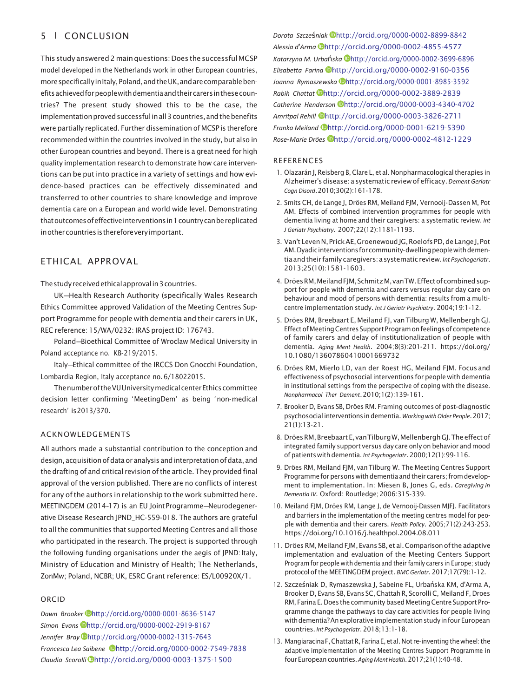# 5 | CONCLUSION

This study answered 2 main questions: Does the successful MCSP model developed in the Netherlands work in other European countries, morespecificallyinItaly,Poland,andtheUK,andarecomparablebenefitsachievedforpeoplewithdementiaandtheircarersinthesecountries? The present study showed this to be the case, the implementation proved successful in all 3 countries, and the benefits were partially replicated. Further dissemination of MCSP is therefore recommended within the countries involved in the study, but also in other European countries and beyond. There is a great need for high quality implementation research to demonstrate how care interventions can be put into practice in a variety of settings and how evidence-based practices can be effectively disseminated and transferred to other countries to share knowledge and improve dementia care on a European and world wide level. Demonstrating that outcomes of effective interventions in 1 country can be replicated in other countries is therefore very important.

# ETHICAL APPROVAL

The study received ethical approval in 3 countries.

UK—Health Research Authority (specifically Wales Research Ethics Committee approved Validation of the Meeting Centres Support Programme for people with dementia and their carers inUK, REC reference: 15/WA/0232: IRAS project ID: 176743.

Poland—Bioethical Committee of Wroclaw Medical University in Poland acceptance no. KB-219/2015.

Italy—Ethical committee of the IRCCS Don Gnocchi Foundation, Lombardia Region, Italy acceptance no. 6/18022015.

The number of the VU University medical center Ethics committee decision letter confirming 'MeetingDem' as being 'non-medical research' is2013/370.

#### ACKNOWLEDGEMENTS

All authors made a substantial contribution to the conception and design, acquisitionofdataor analysis andinterpretationofdata, and the drafting of and critical revision of the article. They provided final approval of the version published. There are no conflicts of interest for any ofthe authors in relationship to the work submitted here. MEETINGDEM (2014–17) is an EU JointProgramme—Neurodegenerative Disease Research JPND\_HC-559-018. The authors are grateful to all the communities that supported Meeting Centres and all those who participated in the research. The project is supported through the following funding organisations under the aegis of JPND: Italy, Ministry of Education and Ministry of Health; The Netherlands, ZonMw; Poland, NCBR; UK, ESRC Grant reference: ES/L00920X/1.

#### ORCID

*Dawn Brooker* <http://orcid.org/0000-0001-8636-5147> *Simon Evans* <http://orcid.org/0000-0002-2919-8167> *Jennifer Bray* <http://orcid.org/0000-0002-1315-7643> *Francesca Lea Saibene* <http://orcid.org/0000-0002-7549-7838> *Claudia Scorolli* <http://orcid.org/0000-0003-1375-1500>

*Dorota Szcze*ś*niak* <http://orcid.org/0000-0002-8899-8842> *Alessia d*'*Arma* <http://orcid.org/0000-0002-4855-4577> *Katarzyna M. Urba*ń*ska* <http://orcid.org/0000-0002-3699-6896> *Elisabetta Farina* <http://orcid.org/0000-0002-9160-0356> *Joanna Rymaszewska* <http://orcid.org/0000-0001-8985-3592> *Rabih Chattat* <http://orcid.org/0000-0002-3889-2839> *Catherine Henderson* <http://orcid.org/0000-0003-4340-4702> *Amritpal Rehill* <http://orcid.org/0000-0003-3826-2711> *Franka Meiland* <http://orcid.org/0000-0001-6219-5390> *Rose*-*Marie Dröes* <http://orcid.org/0000-0002-4812-1229>

#### REFERENCES

- 1. Olazarán J, Reisberg B, Clare L, et al. Nonpharmacological therapies in Alzheimer's disease: a systematic reviewof efficacy.*Dement Geriatr Cogn Disord*.2010;30(2):161-178.
- 2. Smits CH, de Lange J, Dröes RM, Meiland FJM, Vernooij-Dassen M, Pot AM. Effects of combined intervention programmes for people with dementia living at home and their caregivers: a systematic review. *Int J Geriatr Psychiatry*. 2007;22(12):1181-1193.
- 3. Van't Leven N, Prick AE, Groenewoud JG, Roelofs PD, de Lange J, Pot AM. Dyadic interventions for community-dwelling people with dementiaandtheir family caregivers: asystematic review.*Int Psychogeriatr*. 2013;25(10):1581-1603.
- 4. Dröes RM, Meiland FJM, Schmitz M, van TW. Effect of combined support for people with dementia and carers versus regular day care on behaviour and mood of persons with dementia: results from a multicentre implementation study. *Int J Geriatr Psychiatry*. 2004;19:1-12.
- 5. Dröes RM, Breebaart E, Meiland FJ, vanTilburg W, Mellenbergh GJ. Effect of Meeting Centres Support Program on feelings of competence of family carers and delay of institutionalization of people with dementia. *Aging Ment Health*. 2004;8(3):201-211. [https://doi.org/](https://doi.org/10.1080/13607860410001669732) [10.1080/13607860410001669732](https://doi.org/10.1080/13607860410001669732)
- 6. Dröes RM, Mierlo LD, van der Roest HG, Meiland FJM. Focus and effectiveness of psychosocial interventions for people with dementia in institutional settings from the perspective of coping with the disease. *Nonpharmacol Ther Dement*.2010;1(2):139-161.
- 7. Brooker D, Evans SB, Dröes RM. Framing outcomes of post-diagnostic psychosocial interventionsindementia. *WorkingwithOlder People*.2017; 21(1):13-21.
- 8. Dröes RM, Breebaart E, van Tilburg W, Mellenbergh GJ. The effect of integrated family support versus day care only on behavior and mood of patients with dementia. *Int Psychogeriatr*. 2000;12(1):99-116.
- 9. Dröes RM, Meiland FJM, vanTilburg W. The Meeting Centres Support Programme for persons with dementia and their carers; from development to implementation. In: Miesen B, Jones G, eds. *Caregiving in Dementia IV*. Oxford: Routledge;2006:315-339.
- 10. Meiland FJM, Dröes RM, Lange J, de Vernooij-Dassen MJFJ. Facilitators and barriers in the implementation of the meeting centres model for people with dementia and their carers. *Health Policy*. 2005;71(2):243-253. <https://doi.org/10.1016/j.healthpol.2004.08.011>
- 11. Dröes RM, Meiland FJM, Evans SB, et al. Comparison of the adaptive implementation and evaluation of the Meeting Centers Support Program for people with dementia and their family carers in Europe; study protocol of the MEETINGDEM project. *BMC Geriatr*. 2017;17(79):1-12.
- 12. Szcześniak D, Rymaszewska J, Sabeine FL, Urbańska KM, d'Arma A, Brooker D, Evans SB, Evans SC, Chattah R, Scorolli C, Meiland F, Droes RM, Farina E. Does the community based Meeting Centre Support Programme change the pathways to day care activities for people living withdementia?AnexplorativeimplementationstudyinfourEuropean countries. *Int Psychogeriatr*. 2018;13:1-18.
- 13. Mangiaracina F, Chattat R, Farina E, et al. Not re-inventing the wheel: the adaptive implementation of the Meeting Centres Support Programme in fourEuropeancountries.*AgingMentHealth*.2017;21(1):40-48.